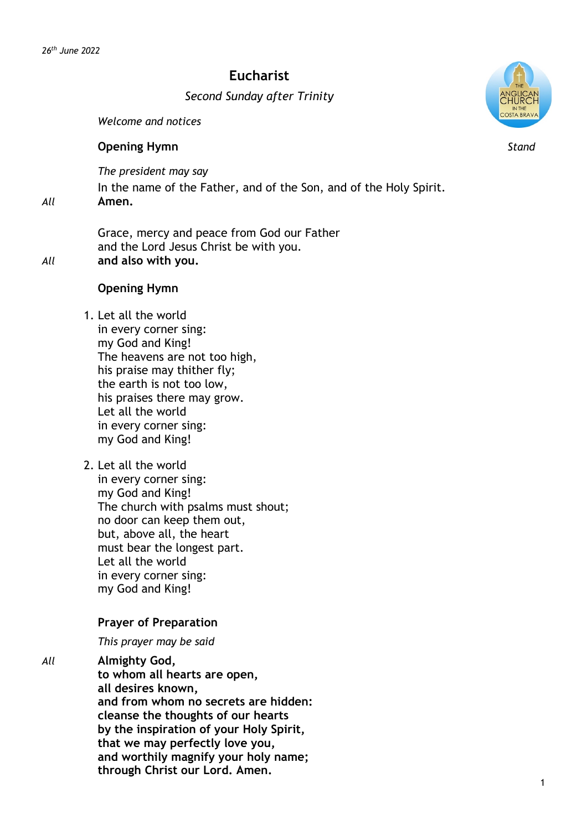# **Eucharist**

*Second Sunday after Trinity*

*Welcome and notices*

### **Opening Hymn** *Stand*

*The president may say*

In the name of the Father, and of the Son, and of the Holy Spirit.

*All* **Amen.**

Grace, mercy and peace from God our Father and the Lord Jesus Christ be with you. *All* **and also with you.**

### **Opening Hymn**

- 1. Let all the world in every corner sing: my God and King! The heavens are not too high, his praise may thither fly; the earth is not too low, his praises there may grow. Let all the world in every corner sing: my God and King!
- 2. Let all the world in every corner sing: my God and King! The church with psalms must shout; no door can keep them out, but, above all, the heart must bear the longest part. Let all the world in every corner sing: my God and King!

# **Prayer of Preparation**

#### *This prayer may be said*

*All* **Almighty God,**

**to whom all hearts are open, all desires known, and from whom no secrets are hidden: cleanse the thoughts of our hearts by the inspiration of your Holy Spirit, that we may perfectly love you, and worthily magnify your holy name; through Christ our Lord. Amen.**

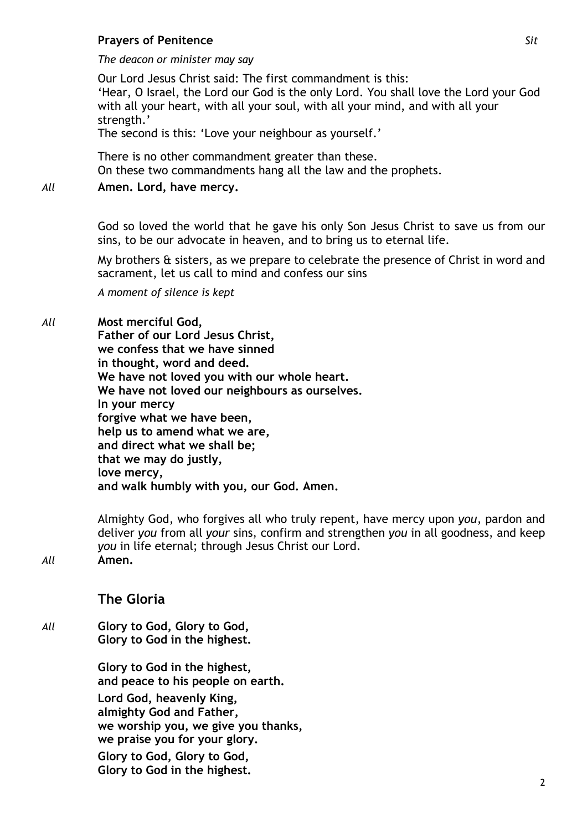### **Prayers of Penitence** *Sit*

*The deacon or minister may say* 

Our Lord Jesus Christ said: The first commandment is this: 'Hear, O Israel, the Lord our God is the only Lord. You shall love the Lord your God with all your heart, with all your soul, with all your mind, and with all your strength.'

The second is this: 'Love your neighbour as yourself.'

There is no other commandment greater than these. On these two commandments hang all the law and the prophets.

### *All* **Amen. Lord, have mercy.**

God so loved the world that he gave his only Son Jesus Christ to save us from our sins, to be our advocate in heaven, and to bring us to eternal life.

My brothers & sisters, as we prepare to celebrate the presence of Christ in word and sacrament, let us call to mind and confess our sins

#### *A moment of silence is kept*

*All* **Most merciful God,**

**Father of our Lord Jesus Christ, we confess that we have sinned in thought, word and deed. We have not loved you with our whole heart. We have not loved our neighbours as ourselves. In your mercy forgive what we have been, help us to amend what we are, and direct what we shall be; that we may do justly, love mercy, and walk humbly with you, our God. Amen.**

Almighty God, who forgives all who truly repent, have mercy upon *you*, pardon and deliver *you* from all *your* sins, confirm and strengthen *you* in all goodness, and keep *you* in life eternal; through Jesus Christ our Lord.

*All* **Amen.**

# **The Gloria**

*All* **Glory to God, Glory to God, Glory to God in the highest.**

> **Glory to God in the highest, and peace to his people on earth. Lord God, heavenly King, almighty God and Father, we worship you, we give you thanks, we praise you for your glory. Glory to God, Glory to God, Glory to God in the highest.**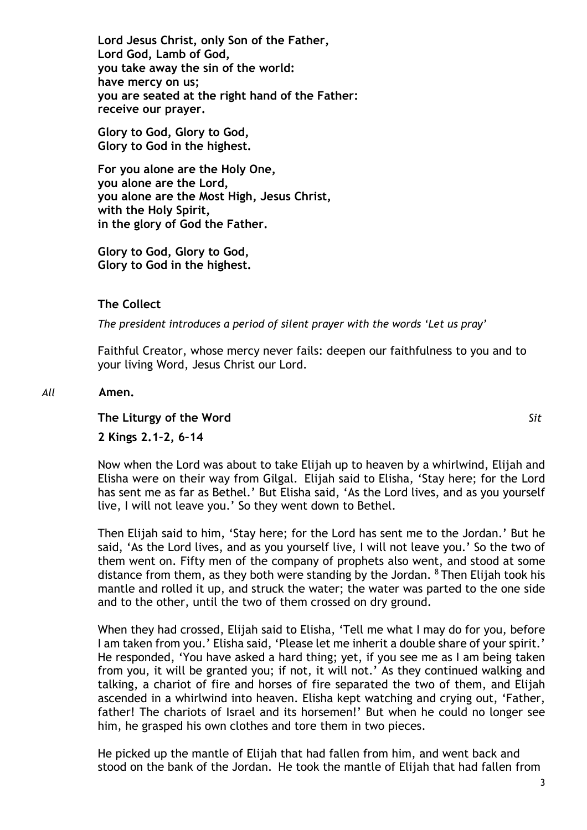**Lord Jesus Christ, only Son of the Father, Lord God, Lamb of God, you take away the sin of the world: have mercy on us; you are seated at the right hand of the Father: receive our prayer.**

**Glory to God, Glory to God, Glory to God in the highest.**

**For you alone are the Holy One, you alone are the Lord, you alone are the Most High, Jesus Christ, with the Holy Spirit, in the glory of God the Father.**

**Glory to God, Glory to God, Glory to God in the highest.**

### **The Collect**

*The president introduces a period of silent prayer with the words 'Let us pray'* 

Faithful Creator, whose mercy never fails: deepen our faithfulness to you and to your living Word, Jesus Christ our Lord.

#### *All* **Amen.**

**The Liturgy of the Word** *Sit*

**2 Kings 2.1–2, 6–14**

Now when the Lord was about to take Elijah up to heaven by a whirlwind, Elijah and Elisha were on their way from Gilgal. Elijah said to Elisha, 'Stay here; for the Lord has sent me as far as Bethel.' But Elisha said, 'As the Lord lives, and as you yourself live, I will not leave you.' So they went down to Bethel.

Then Elijah said to him, 'Stay here; for the Lord has sent me to the Jordan.' But he said, 'As the Lord lives, and as you yourself live, I will not leave you.' So the two of them went on. Fifty men of the company of prophets also went, and stood at some distance from them, as they both were standing by the Jordan.  $8$  Then Elijah took his mantle and rolled it up, and struck the water; the water was parted to the one side and to the other, until the two of them crossed on dry ground.

When they had crossed, Elijah said to Elisha, 'Tell me what I may do for you, before I am taken from you.' Elisha said, 'Please let me inherit a double share of your spirit.' He responded, 'You have asked a hard thing; yet, if you see me as I am being taken from you, it will be granted you; if not, it will not.' As they continued walking and talking, a chariot of fire and horses of fire separated the two of them, and Elijah ascended in a whirlwind into heaven. Elisha kept watching and crying out, 'Father, father! The chariots of Israel and its horsemen!' But when he could no longer see him, he grasped his own clothes and tore them in two pieces.

He picked up the mantle of Elijah that had fallen from him, and went back and stood on the bank of the Jordan. He took the mantle of Elijah that had fallen from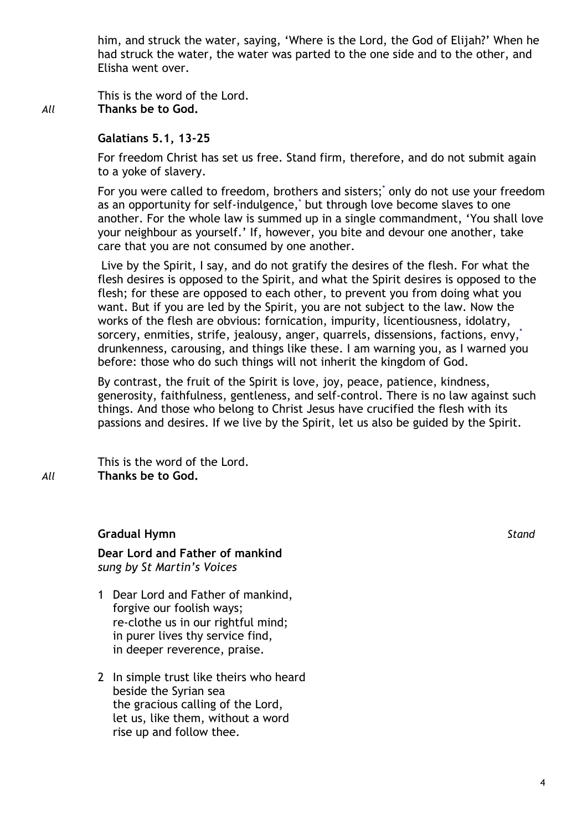him, and struck the water, saying, 'Where is the Lord, the God of Elijah?' When he had struck the water, the water was parted to the one side and to the other, and Elisha went over.

This is the word of the Lord. *All* **Thanks be to God.**

### **Galatians 5.1, 13-25**

For freedom Christ has set us free. Stand firm, therefore, and do not submit again to a yoke of slavery.

For you were called to freedom, brothers and sisters;<sup>\*</sup> only do not use your freedom as an opportunity for self-indulgence,\* but through love become slaves to one another. For the whole law is summed up in a single commandment, 'You shall love your neighbour as yourself.' If, however, you bite and devour one another, take care that you are not consumed by one another.

Live by the Spirit, I say, and do not gratify the desires of the flesh. For what the flesh desires is opposed to the Spirit, and what the Spirit desires is opposed to the flesh; for these are opposed to each other, to prevent you from doing what you want. But if you are led by the Spirit, you are not subject to the law. Now the works of the flesh are obvious: fornication, impurity, licentiousness, idolatry, sorcery, enmities, strife, jealousy, anger, quarrels, dissensions, factions, envy,<sup>\*</sup> drunkenness, carousing, and things like these. I am warning you, as I warned you before: those who do such things will not inherit the kingdom of God.

By contrast, the fruit of the Spirit is love, joy, peace, patience, kindness, generosity, faithfulness, gentleness, and self-control. There is no law against such things. And those who belong to Christ Jesus have crucified the flesh with its passions and desires. If we live by the Spirit, let us also be guided by the Spirit.

This is the word of the Lord. *All* **Thanks be to God.**

### **Gradual Hymn** *Stand*

**Dear Lord and Father of mankind** *sung by St Martin's Voices*

- 1 Dear Lord and Father of mankind, forgive our foolish ways; re-clothe us in our rightful mind; in purer lives thy service find, in deeper reverence, praise.
- 2 In simple trust like theirs who heard beside the Syrian sea the gracious calling of the Lord, let us, like them, without a word rise up and follow thee.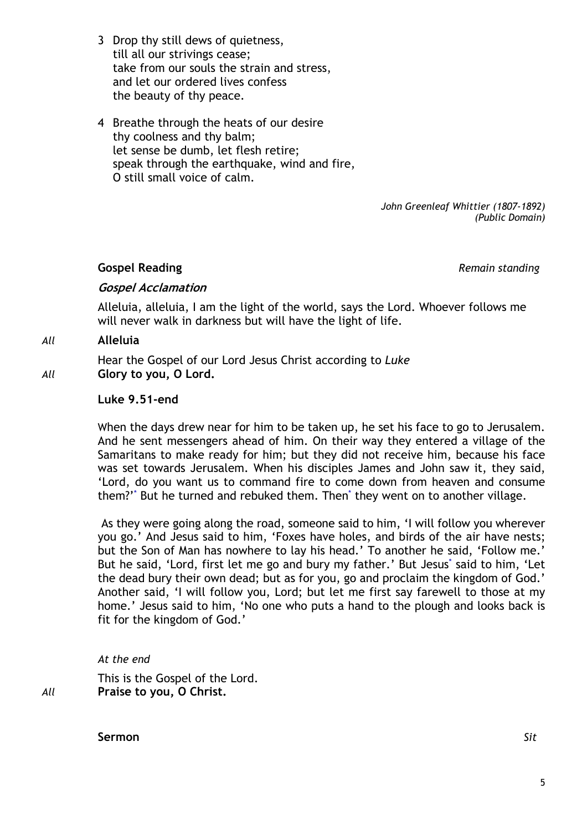- 3 Drop thy still dews of quietness, till all our strivings cease; take from our souls the strain and stress, and let our ordered lives confess the beauty of thy peace.
- 4 Breathe through the heats of our desire thy coolness and thy balm; let sense be dumb, let flesh retire; speak through the earthquake, wind and fire, O still small voice of calm.

*John Greenleaf Whittier (1807-1892) (Public Domain)*

### **Gospel Reading** *Remain standing*

### **Gospel Acclamation**

Alleluia, alleluia, I am the light of the world, says the Lord. Whoever follows me will never walk in darkness but will have the light of life.

### *All* **Alleluia**

Hear the Gospel of our Lord Jesus Christ according to *Luke All* **Glory to you, O Lord.**

### **Luke 9.51-end**

When the days drew near for him to be taken up, he set his face to go to Jerusalem. And he sent messengers ahead of him. On their way they entered a village of the Samaritans to make ready for him; but they did not receive him, because his face was set towards Jerusalem. When his disciples James and John saw it, they said, 'Lord, do you want us to command fire to come down from heaven and consume them?'\* But he turned and rebuked them. Then\* they went on to another village.

As they were going along the road, someone said to him, 'I will follow you wherever you go.' And Jesus said to him, 'Foxes have holes, and birds of the air have nests; but the Son of Man has nowhere to lay his head.' To another he said, 'Follow me.' But he said, 'Lord, first let me go and bury my father.' But Jesus<sup>\*</sup> said to him, 'Let the dead bury their own dead; but as for you, go and proclaim the kingdom of God.' Another said, 'I will follow you, Lord; but let me first say farewell to those at my home.' Jesus said to him, 'No one who puts a hand to the plough and looks back is fit for the kingdom of God.'

#### *At the end*

This is the Gospel of the Lord. *All* **Praise to you, O Christ.**

**Sermon** *Sit*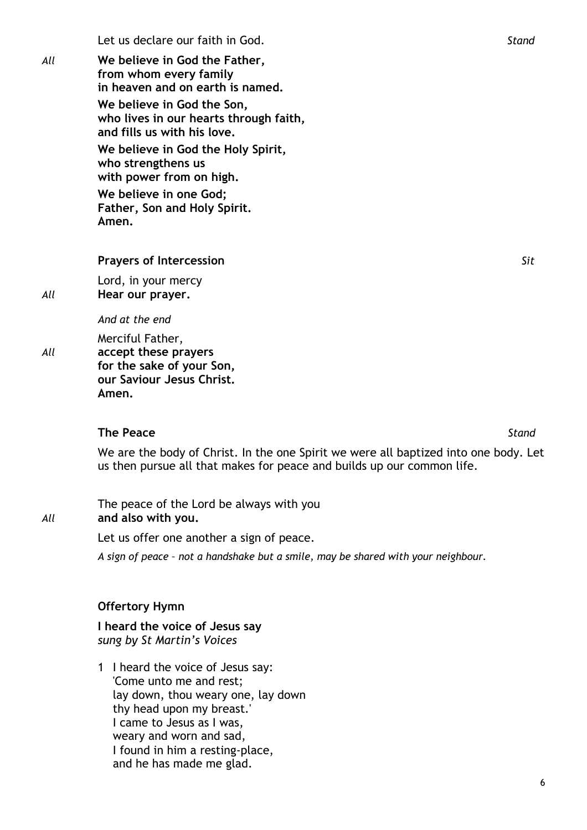Let us declare our faith in God. **Stand** 

*All* **We believe in God the Father, from whom every family in heaven and on earth is named. We believe in God the Son, who lives in our hearts through faith, and fills us with his love. We believe in God the Holy Spirit, who strengthens us with power from on high. We believe in one God; Father, Son and Holy Spirit. Amen.**

#### **Prayers of Intercession** *Sit*

Lord, in your mercy *All* **Hear our prayer.**

*And at the end*

Merciful Father, *All* **accept these prayers for the sake of your Son, our Saviour Jesus Christ. Amen.**

#### **The Peace** *Stand*

We are the body of Christ. In the one Spirit we were all baptized into one body. Let us then pursue all that makes for peace and builds up our common life.

The peace of the Lord be always with you *All* **and also with you.**

Let us offer one another a sign of peace.

*A sign of peace – not a handshake but a smile, may be shared with your neighbour.*

#### **Offertory Hymn**

**I heard the voice of Jesus say** *sung by St Martin's Voices*

1 I heard the voice of Jesus say: 'Come unto me and rest; lay down, thou weary one, lay down thy head upon my breast.' I came to Jesus as I was, weary and worn and sad, I found in him a resting-place, and he has made me glad.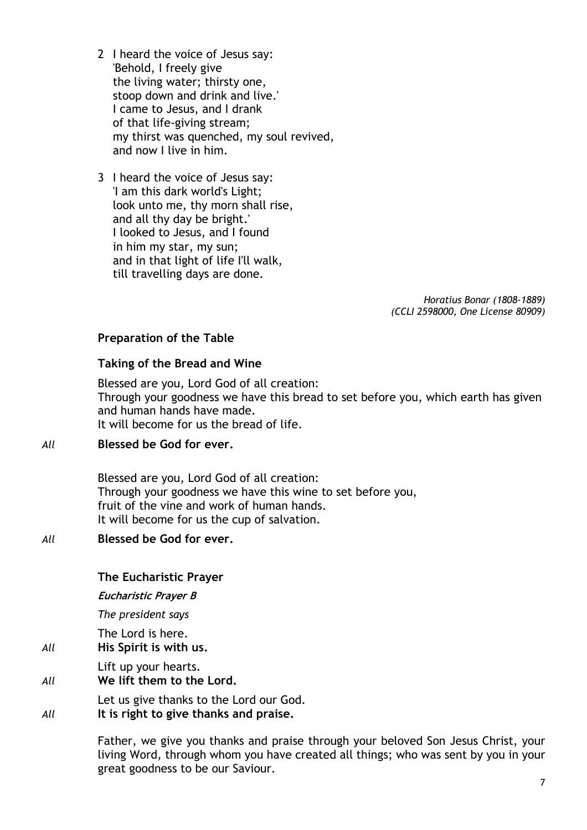- 2 I heard the voice of Jesus say: 'Behold, I freely give the living water; thirsty one, stoop down and drink and live.' I came to Jesus, and I drank of that life-giving stream; my thirst was quenched, my soul revived, and now I live in him.
- 3 I heard the voice of Jesus say: 'I am this dark world's Light; look unto me, thy morn shall rise, and all thy day be bright.' I looked to Jesus, and I found in him my star, my sun; and in that light of life I'll walk, till travelling days are done.

*Horatius Bonar (1808-1889) (CCLI 2598000, One License 80909)*

### **Preparation of the Table**

#### **Taking of the Bread and Wine**

Blessed are you, Lord God of all creation: Through your goodness we have this bread to set before you, which earth has given and human hands have made. It will become for us the bread of life.

#### *All* **Blessed be God for ever.**

Blessed are you, Lord God of all creation: Through your goodness we have this wine to set before you, fruit of the vine and work of human hands. It will become for us the cup of salvation.

### *All* **Blessed be God for ever.**

#### **The Eucharistic Prayer**

**Eucharistic Prayer B**

*The president says* 

The Lord is here.

*All* **His Spirit is with us.**

Lift up your hearts.

*All* **We lift them to the Lord.**

Let us give thanks to the Lord our God.

*All* **It is right to give thanks and praise.**

Father, we give you thanks and praise through your beloved Son Jesus Christ, your living Word, through whom you have created all things; who was sent by you in your great goodness to be our Saviour.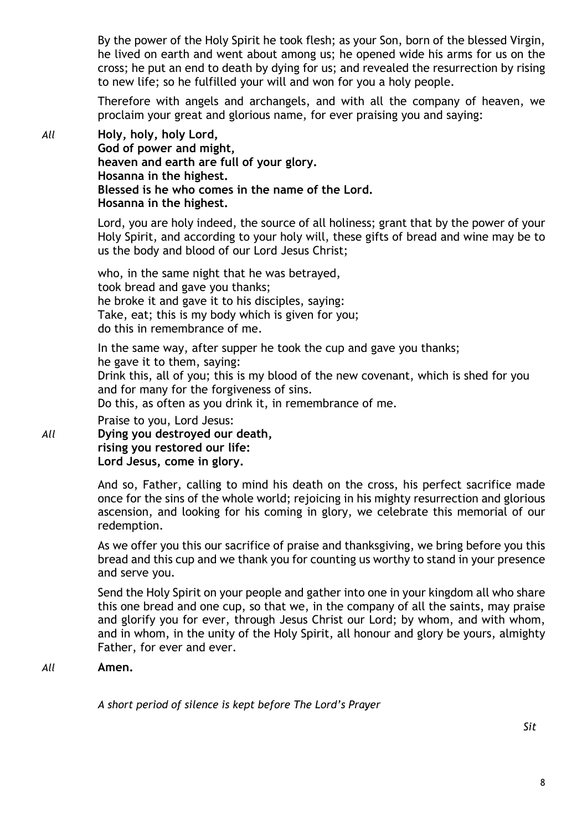By the power of the Holy Spirit he took flesh; as your Son, born of the blessed Virgin, he lived on earth and went about among us; he opened wide his arms for us on the cross; he put an end to death by dying for us; and revealed the resurrection by rising to new life; so he fulfilled your will and won for you a holy people.

Therefore with angels and archangels, and with all the company of heaven, we proclaim your great and glorious name, for ever praising you and saying:

*All* **Holy, holy, holy Lord, God of power and might, heaven and earth are full of your glory. Hosanna in the highest. Blessed is he who comes in the name of the Lord. Hosanna in the highest.**

> Lord, you are holy indeed, the source of all holiness; grant that by the power of your Holy Spirit, and according to your holy will, these gifts of bread and wine may be to us the body and blood of our Lord Jesus Christ;

who, in the same night that he was betrayed, took bread and gave you thanks; he broke it and gave it to his disciples, saying: Take, eat; this is my body which is given for you; do this in remembrance of me.

In the same way, after supper he took the cup and gave you thanks; he gave it to them, saying: Drink this, all of you; this is my blood of the new covenant, which is shed for you and for many for the forgiveness of sins.

Do this, as often as you drink it, in remembrance of me.

Praise to you, Lord Jesus:

*All* **Dying you destroyed our death, rising you restored our life: Lord Jesus, come in glory.**

> And so, Father, calling to mind his death on the cross, his perfect sacrifice made once for the sins of the whole world; rejoicing in his mighty resurrection and glorious ascension, and looking for his coming in glory, we celebrate this memorial of our redemption.

> As we offer you this our sacrifice of praise and thanksgiving, we bring before you this bread and this cup and we thank you for counting us worthy to stand in your presence and serve you.

> Send the Holy Spirit on your people and gather into one in your kingdom all who share this one bread and one cup, so that we, in the company of all the saints, may praise and glorify you for ever, through Jesus Christ our Lord; by whom, and with whom, and in whom, in the unity of the Holy Spirit, all honour and glory be yours, almighty Father, for ever and ever.

### *All* **Amen.**

*A short period of silence is kept before The Lord's Prayer*

 *Sit*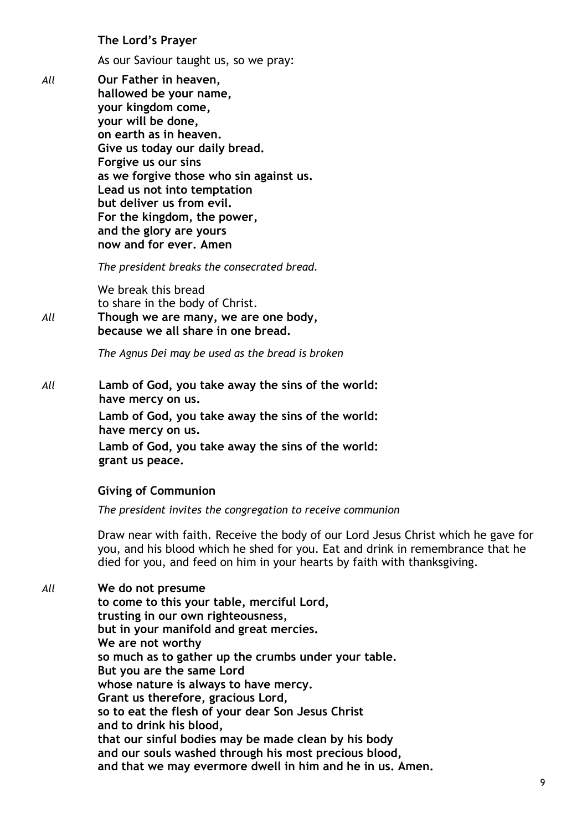**The Lord's Prayer**

As our Saviour taught us, so we pray:

*All* **Our Father in heaven, hallowed be your name, your kingdom come, your will be done, on earth as in heaven. Give us today our daily bread. Forgive us our sins as we forgive those who sin against us. Lead us not into temptation but deliver us from evil. For the kingdom, the power, and the glory are yours now and for ever. Amen**

*The president breaks the consecrated bread.* 

We break this bread to share in the body of Christ.

*All* **Though we are many, we are one body, because we all share in one bread.**

*The Agnus Dei may be used as the bread is broken*

*All* **Lamb of God, you take away the sins of the world: have mercy on us.**

> **Lamb of God, you take away the sins of the world: have mercy on us.**

> **Lamb of God, you take away the sins of the world: grant us peace.**

### **Giving of Communion**

*The president invites the congregation to receive communion*

Draw near with faith. Receive the body of our Lord Jesus Christ which he gave for you, and his blood which he shed for you. Eat and drink in remembrance that he died for you, and feed on him in your hearts by faith with thanksgiving.

*All* **We do not presume to come to this your table, merciful Lord, trusting in our own righteousness, but in your manifold and great mercies. We are not worthy so much as to gather up the crumbs under your table. But you are the same Lord whose nature is always to have mercy. Grant us therefore, gracious Lord, so to eat the flesh of your dear Son Jesus Christ and to drink his blood, that our sinful bodies may be made clean by his body and our souls washed through his most precious blood, and that we may evermore dwell in him and he in us. Amen.**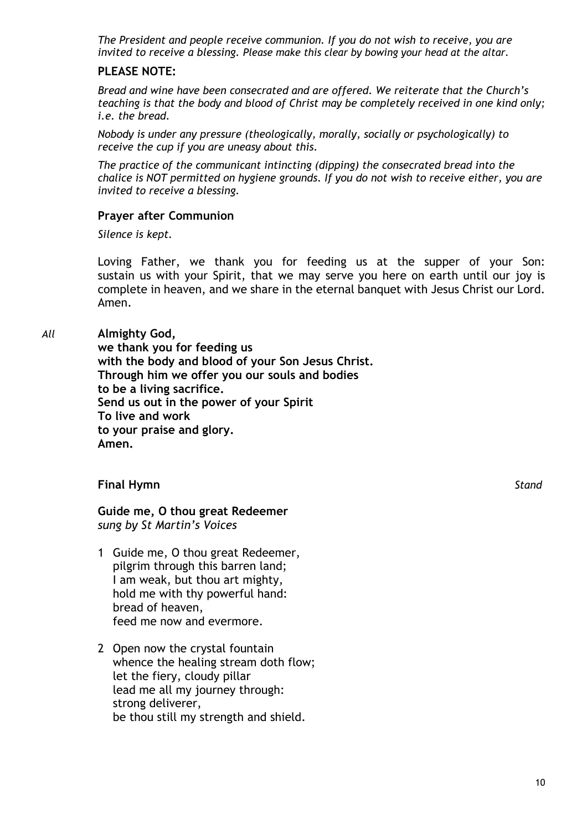*The President and people receive communion. If you do not wish to receive, you are invited to receive a blessing. Please make this clear by bowing your head at the altar.*

## **PLEASE NOTE:**

*Bread and wine have been consecrated and are offered. We reiterate that the Church's teaching is that the body and blood of Christ may be completely received in one kind only; i.e. the bread.*

*Nobody is under any pressure (theologically, morally, socially or psychologically) to receive the cup if you are uneasy about this.* 

*The practice of the communicant intincting (dipping) the consecrated bread into the chalice is NOT permitted on hygiene grounds. If you do not wish to receive either, you are invited to receive a blessing.* 

#### **Prayer after Communion**

*Silence is kept.*

Loving Father, we thank you for feeding us at the supper of your Son: sustain us with your Spirit, that we may serve you here on earth until our joy is complete in heaven, and we share in the eternal banquet with Jesus Christ our Lord. Amen.

### *All* **Almighty God,**

**we thank you for feeding us with the body and blood of your Son Jesus Christ. Through him we offer you our souls and bodies to be a living sacrifice. Send us out in the power of your Spirit To live and work to your praise and glory. Amen.**

### **Final Hymn** *Stand*

**Guide me, O thou great Redeemer** *sung by St Martin's Voices*

- 1 Guide me, O thou great Redeemer, pilgrim through this barren land; I am weak, but thou art mighty, hold me with thy powerful hand: bread of heaven, feed me now and evermore.
- 2 Open now the crystal fountain whence the healing stream doth flow; let the fiery, cloudy pillar lead me all my journey through: strong deliverer, be thou still my strength and shield.